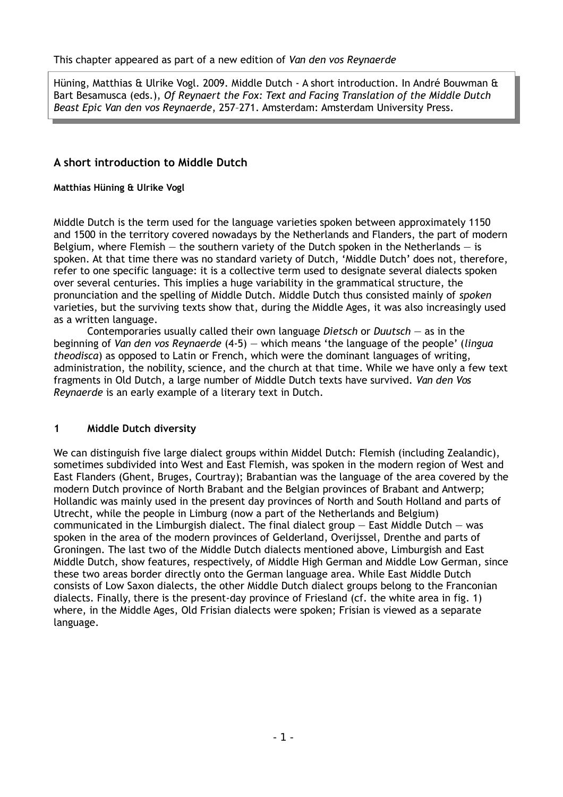Hüning, Matthias & Ulrike Vogl. 2009. Middle Dutch - A short introduction. In André Bouwman & Bart Besamusca (eds.), *Of Reynaert the Fox: Text and Facing Translation of the Middle Dutch Beast Epic Van den vos Reynaerde*, 257–271. Amsterdam: Amsterdam University Press.

# **A short introduction to Middle Dutch**

## **Matthias Hüning & Ulrike Vogl**

Middle Dutch is the term used for the language varieties spoken between approximately 1150 and 1500 in the territory covered nowadays by the Netherlands and Flanders, the part of modern Belgium, where Flemish  $-$  the southern variety of the Dutch spoken in the Netherlands  $-$  is spoken. At that time there was no standard variety of Dutch, 'Middle Dutch' does not, therefore, refer to one specific language: it is a collective term used to designate several dialects spoken over several centuries. This implies a huge variability in the grammatical structure, the pronunciation and the spelling of Middle Dutch. Middle Dutch thus consisted mainly of *spoken* varieties, but the surviving texts show that, during the Middle Ages, it was also increasingly used as a written language.

Contemporaries usually called their own language *Dietsch* or *Duutsch* — as in the beginning of *Van den vos Reynaerde* (4-5) — which means 'the language of the people' (*lingua theodisca*) as opposed to Latin or French, which were the dominant languages of writing, administration, the nobility, science, and the church at that time. While we have only a few text fragments in Old Dutch, a large number of Middle Dutch texts have survived. *Van den Vos Reynaerde* is an early example of a literary text in Dutch.

## **1 Middle Dutch diversity**

We can distinguish five large dialect groups within Middel Dutch: Flemish (including Zealandic), sometimes subdivided into West and East Flemish, was spoken in the modern region of West and East Flanders (Ghent, Bruges, Courtray); Brabantian was the language of the area covered by the modern Dutch province of North Brabant and the Belgian provinces of Brabant and Antwerp; Hollandic was mainly used in the present day provinces of North and South Holland and parts of Utrecht, while the people in Limburg (now a part of the Netherlands and Belgium) communicated in the Limburgish dialect. The final dialect group  $-$  East Middle Dutch  $-$  was spoken in the area of the modern provinces of Gelderland, Overijssel, Drenthe and parts of Groningen. The last two of the Middle Dutch dialects mentioned above, Limburgish and East Middle Dutch, show features, respectively, of Middle High German and Middle Low German, since these two areas border directly onto the German language area. While East Middle Dutch consists of Low Saxon dialects, the other Middle Dutch dialect groups belong to the Franconian dialects. Finally, there is the present-day province of Friesland (cf. the white area in fig. 1) where, in the Middle Ages, Old Frisian dialects were spoken; Frisian is viewed as a separate language.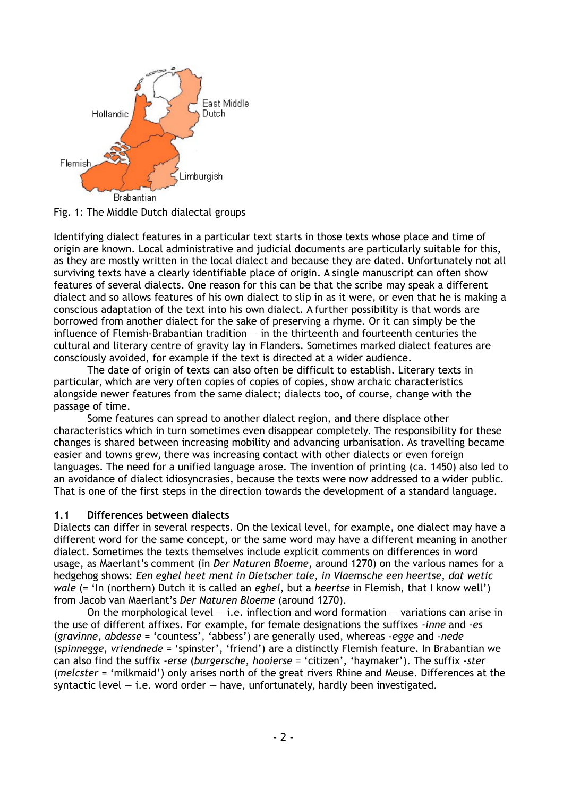

Fig. 1: The Middle Dutch dialectal groups

Identifying dialect features in a particular text starts in those texts whose place and time of origin are known. Local administrative and judicial documents are particularly suitable for this, as they are mostly written in the local dialect and because they are dated. Unfortunately not all surviving texts have a clearly identifiable place of origin. A single manuscript can often show features of several dialects. One reason for this can be that the scribe may speak a different dialect and so allows features of his own dialect to slip in as it were, or even that he is making a conscious adaptation of the text into his own dialect. A further possibility is that words are borrowed from another dialect for the sake of preserving a rhyme. Or it can simply be the influence of Flemish-Brabantian tradition — in the thirteenth and fourteenth centuries the cultural and literary centre of gravity lay in Flanders. Sometimes marked dialect features are consciously avoided, for example if the text is directed at a wider audience.

The date of origin of texts can also often be difficult to establish. Literary texts in particular, which are very often copies of copies of copies, show archaic characteristics alongside newer features from the same dialect; dialects too, of course, change with the passage of time.

Some features can spread to another dialect region, and there displace other characteristics which in turn sometimes even disappear completely. The responsibility for these changes is shared between increasing mobility and advancing urbanisation. As travelling became easier and towns grew, there was increasing contact with other dialects or even foreign languages. The need for a unified language arose. The invention of printing (ca. 1450) also led to an avoidance of dialect idiosyncrasies, because the texts were now addressed to a wider public. That is one of the first steps in the direction towards the development of a standard language.

## **1.1 Differences between dialects**

Dialects can differ in several respects. On the lexical level, for example, one dialect may have a different word for the same concept, or the same word may have a different meaning in another dialect. Sometimes the texts themselves include explicit comments on differences in word usage, as Maerlant's comment (in *Der Naturen Bloeme*, around 1270) on the various names for a hedgehog shows: *Een eghel heet ment in Dietscher tale, in Vlaemsche een heertse, dat wetic wale* (= 'In (northern) Dutch it is called an *eghel*, but a *heertse* in Flemish, that I know well') from Jacob van Maerlant's *Der Naturen Bloeme* (around 1270).

On the morphological level  $-$  i.e. inflection and word formation  $-$  variations can arise in the use of different affixes. For example, for female designations the suffixes *-inne* and *-es* (*gravinne*, *abdesse* = 'countess', 'abbess') are generally used, whereas *-egge* and *-nede* (*spinnegge*, *vriendnede* = 'spinster', 'friend') are a distinctly Flemish feature. In Brabantian we can also find the suffix *-erse* (*burgersche*, *hooierse* = 'citizen', 'haymaker'). The suffix -*ster* (*melcster* = 'milkmaid') only arises north of the great rivers Rhine and Meuse. Differences at the syntactic level  $-$  i.e. word order  $-$  have, unfortunately, hardly been investigated.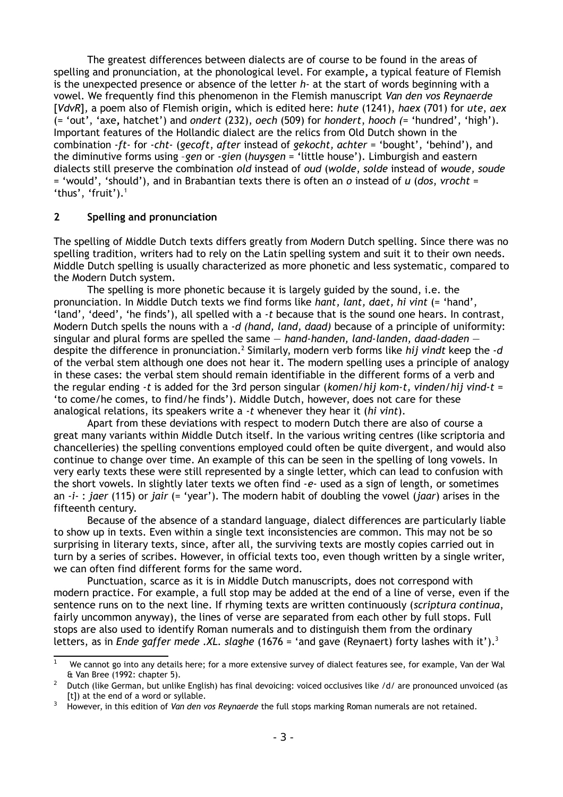The greatest differences between dialects are of course to be found in the areas of spelling and pronunciation, at the phonological level. For example**,** a typical feature of Flemish is the unexpected presence or absence of the letter *h-* at the start of words beginning with a vowel. We frequently find this phenomenon in the Flemish manuscript *Van den vos Reynaerde*  [*VdvR*]*,* a poem also of Flemish origin**,** which is edited here: *hute* (1241), *haex* (701) for *ute*, *aex* (= 'out', 'axe**,** hatchet') and *ondert* (232), *oech* (509) for *hondert*, *hooch (=* 'hundred', 'high'). Important features of the Hollandic dialect are the relics from Old Dutch shown in the combination *-ft-* for *-cht-* (*gecoft*, *after* instead of *gekocht, achter* = 'bought', 'behind'), and the diminutive forms using –*gen* or *-gien* (*huysgen* = 'little house'). Limburgish and eastern dialects still preserve the combination *old* instead of *oud* (*wolde*, *solde* instead of *woude, soude* = 'would', 'should'), and in Brabantian texts there is often an *o* instead of *u* (*dos*, *vrocht* = 'thus', 'fruit'). $<sup>1</sup>$  $<sup>1</sup>$  $<sup>1</sup>$ </sup>

## **2 Spelling and pronunciation**

The spelling of Middle Dutch texts differs greatly from Modern Dutch spelling. Since there was no spelling tradition, writers had to rely on the Latin spelling system and suit it to their own needs. Middle Dutch spelling is usually characterized as more phonetic and less systematic, compared to the Modern Dutch system.

The spelling is more phonetic because it is largely guided by the sound, i.e. the pronunciation. In Middle Dutch texts we find forms like *hant, lant, daet, hi vint* (= 'hand', 'land', 'deed', 'he finds'), all spelled with a *-t* because that is the sound one hears. In contrast, Modern Dutch spells the nouns with a *-d (hand, land, daad)* because of a principle of uniformity: singular and plural forms are spelled the same — *hand-handen, land-landen, daad-daden* — despite the difference in pronunciation.<sup>[2](#page-2-1)</sup> Similarly, modern verb forms like *hij vindt* keep the -d of the verbal stem although one does not hear it. The modern spelling uses a principle of analogy in these cases: the verbal stem should remain identifiable in the different forms of a verb and the regular ending *-t* is added for the 3rd person singular (*komen/hij kom-t, vinden/hij vind-t* = 'to come/he comes, to find/he finds'). Middle Dutch, however, does not care for these analogical relations, its speakers write a *-t* whenever they hear it (*hi vint*).

Apart from these deviations with respect to modern Dutch there are also of course a great many variants within Middle Dutch itself. In the various writing centres (like scriptoria and chancelleries) the spelling conventions employed could often be quite divergent, and would also continue to change over time. An example of this can be seen in the spelling of long vowels. In very early texts these were still represented by a single letter, which can lead to confusion with the short vowels. In slightly later texts we often find -*e*- used as a sign of length, or sometimes an *-i-* : *jaer* (115) or *jair* (= 'year'). The modern habit of doubling the vowel (*jaar*) arises in the fifteenth century.

Because of the absence of a standard language, dialect differences are particularly liable to show up in texts. Even within a single text inconsistencies are common. This may not be so surprising in literary texts, since, after all, the surviving texts are mostly copies carried out in turn by a series of scribes. However, in official texts too, even though written by a single writer, we can often find different forms for the same word.

Punctuation, scarce as it is in Middle Dutch manuscripts, does not correspond with modern practice. For example, a full stop may be added at the end of a line of verse, even if the sentence runs on to the next line. If rhyming texts are written continuously (*scriptura continua*, fairly uncommon anyway), the lines of verse are separated from each other by full stops. Full stops are also used to identify Roman numerals and to distinguish them from the ordinary letters, as in *Ende gaffer mede .XL. slaghe* (1676 = 'and gave (Reynaert) forty lashes with it').[3](#page-2-2)

<span id="page-2-0"></span><sup>&</sup>lt;sup>1</sup> We cannot go into any details here; for a more extensive survey of dialect features see, for example, Van der Wal & Van Bree (1992: chapter 5).

<span id="page-2-1"></span><sup>2</sup> Dutch (like German, but unlike English) has final devoicing: voiced occlusives like /d/ are pronounced unvoiced (as [t]) at the end of a word or syllable.

<span id="page-2-2"></span><sup>3</sup> However, in this edition of *Van den vos Reynaerde* the full stops marking Roman numerals are not retained.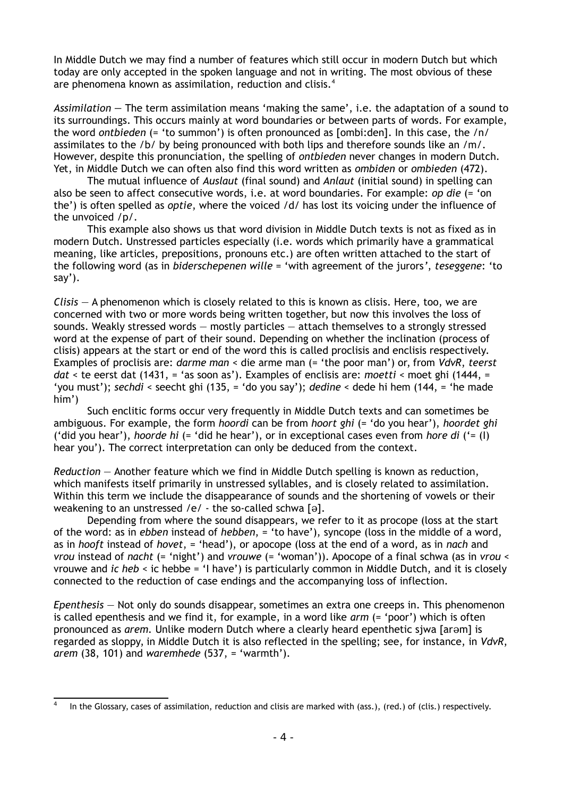In Middle Dutch we may find a number of features which still occur in modern Dutch but which today are only accepted in the spoken language and not in writing. The most obvious of these are phenomena known as assimilation, reduction and clisis.<sup>[4](#page-3-0)</sup>

*Assimilation —* The term assimilation means 'making the same', i.e. the adaptation of a sound to its surroundings. This occurs mainly at word boundaries or between parts of words. For example, the word *ontbieden* (= 'to summon') is often pronounced as [ombi:den]. In this case, the /n/ assimilates to the /b/ by being pronounced with both lips and therefore sounds like an /m/. However, despite this pronunciation, the spelling of *ontbieden* never changes in modern Dutch. Yet, in Middle Dutch we can often also find this word written as *ombiden* or *ombieden* (472).

The mutual influence of *Auslaut* (final sound) and *Anlaut* (initial sound) in spelling can also be seen to affect consecutive words, i.e. at word boundaries. For example: *op die* (= 'on the') is often spelled as *optie*, where the voiced /d/ has lost its voicing under the influence of the unvoiced /p/.

This example also shows us that word division in Middle Dutch texts is not as fixed as in modern Dutch. Unstressed particles especially (i.e. words which primarily have a grammatical meaning, like articles, prepositions, pronouns etc.) are often written attached to the start of the following word (as in *biderschepenen wille* = 'with agreement of the jurors*'*, *teseggene*: 'to say').

*Clisis* — A phenomenon which is closely related to this is known as clisis. Here, too, we are concerned with two or more words being written together, but now this involves the loss of sounds. Weakly stressed words — mostly particles — attach themselves to a strongly stressed word at the expense of part of their sound. Depending on whether the inclination (process of clisis) appears at the start or end of the word this is called proclisis and enclisis respectively. Examples of proclisis are: *darme man* < die arme man (= 'the poor man') or, from *VdvR*, *teerst dat* < te eerst dat (1431, = 'as soon as'). Examples of enclisis are: *moetti* < moet ghi (1444, = 'you must'); *sechdi* < seecht ghi (135, = 'do you say'); *dedine* < dede hi hem (144, = 'he made him')

Such enclitic forms occur very frequently in Middle Dutch texts and can sometimes be ambiguous. For example, the form *hoordi* can be from *hoort ghi* (= 'do you hear'), *hoordet ghi* ('did you hear'), *hoorde hi* (= 'did he hear'), or in exceptional cases even from *hore di* ('= (I) hear you'). The correct interpretation can only be deduced from the context.

*Reduction* — Another feature which we find in Middle Dutch spelling is known as reduction, which manifests itself primarily in unstressed syllables, and is closely related to assimilation. Within this term we include the disappearance of sounds and the shortening of vowels or their weakening to an unstressed /e/ - the so-called schwa [ə].

Depending from where the sound disappears, we refer to it as procope (loss at the start of the word: as in *ebben* instead of *hebben*, = 'to have'), syncope (loss in the middle of a word, as in *hooft* instead of *hovet*, = 'head'), or apocope (loss at the end of a word, as in *nach* and *vrou* instead of *nacht* (= 'night') and *vrouwe* (= 'woman')). Apocope of a final schwa (as in *vrou* < vrouwe and *ic heb* < ic hebbe = 'I have') is particularly common in Middle Dutch, and it is closely connected to the reduction of case endings and the accompanying loss of inflection.

*Epenthesis* — Not only do sounds disappear, sometimes an extra one creeps in. This phenomenon is called epenthesis and we find it, for example, in a word like *arm* (= 'poor') which is often pronounced as *arem.* Unlike modern Dutch where a clearly heard epenthetic sjwa [arəm] is regarded as sloppy, in Middle Dutch it is also reflected in the spelling; see, for instance, in *VdvR*, *arem* (38, 101) and *waremhede* (537, = 'warmth').

<span id="page-3-0"></span><sup>4</sup> In the Glossary, cases of assimilation, reduction and clisis are marked with (ass.), (red.) of (clis.) respectively.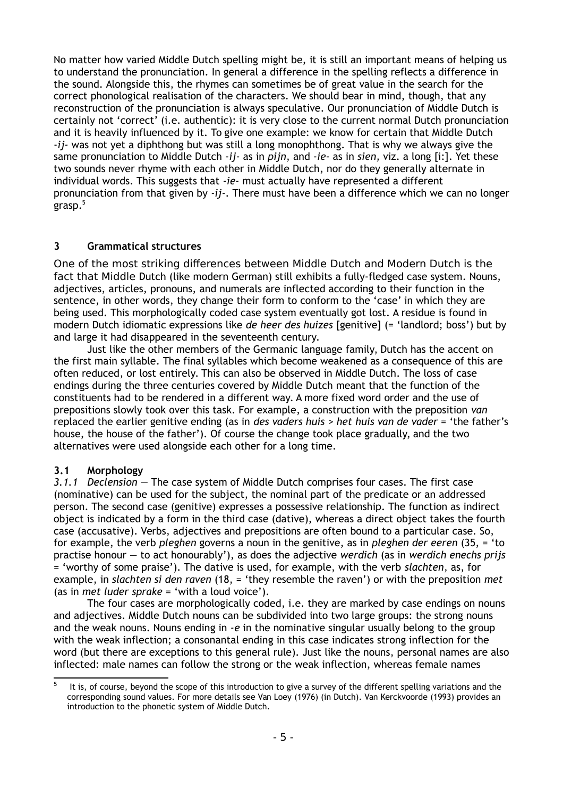No matter how varied Middle Dutch spelling might be, it is still an important means of helping us to understand the pronunciation. In general a difference in the spelling reflects a difference in the sound. Alongside this, the rhymes can sometimes be of great value in the search for the correct phonological realisation of the characters. We should bear in mind, though, that any reconstruction of the pronunciation is always speculative. Our pronunciation of Middle Dutch is certainly not 'correct' (i.e. authentic): it is very close to the current normal Dutch pronunciation and it is heavily influenced by it. To give one example: we know for certain that Middle Dutch -*ij-* was not yet a diphthong but was still a long monophthong. That is why we always give the same pronunciation to Middle Dutch *-ij-* as in *pijn*, and *-ie-* as in *sien,* viz. a long [i:]. Yet these two sounds never rhyme with each other in Middle Dutch, nor do they generally alternate in individual words. This suggests that *-ie-* must actually have represented a different pronunciation from that given by *-ij-.* There must have been a difference which we can no longer grasp.[5](#page-4-0)

# **3 Grammatical structures**

One of the most striking differences between Middle Dutch and Modern Dutch is the fact that Middle Dutch (like modern German) still exhibits a fully-fledged case system. Nouns, adjectives, articles, pronouns, and numerals are inflected according to their function in the sentence, in other words, they change their form to conform to the 'case' in which they are being used. This morphologically coded case system eventually got lost. A residue is found in modern Dutch idiomatic expressions like *de heer des huizes* [genitive] (= 'landlord; boss') but by and large it had disappeared in the seventeenth century.

Just like the other members of the Germanic language family, Dutch has the accent on the first main syllable. The final syllables which become weakened as a consequence of this are often reduced, or lost entirely. This can also be observed in Middle Dutch. The loss of case endings during the three centuries covered by Middle Dutch meant that the function of the constituents had to be rendered in a different way. A more fixed word order and the use of prepositions slowly took over this task. For example, a construction with the preposition *van* replaced the earlier genitive ending (as in *des vaders huis > het huis van de vader* = 'the father's house, the house of the father'). Of course the change took place gradually, and the two alternatives were used alongside each other for a long time.

# **3.1 Morphology**

*3.1.1 Declension* — The case system of Middle Dutch comprises four cases. The first case (nominative) can be used for the subject, the nominal part of the predicate or an addressed person. The second case (genitive) expresses a possessive relationship. The function as indirect object is indicated by a form in the third case (dative), whereas a direct object takes the fourth case (accusative). Verbs, adjectives and prepositions are often bound to a particular case. So, for example, the verb *pleghen* governs a noun in the genitive, as in *pleghen der eeren* (35, = 'to practise honour — to act honourably'), as does the adjective *werdich* (as in *werdich enechs prijs* = 'worthy of some praise'). The dative is used, for example, with the verb *slachten*, as, for example, in *slachten si den raven* (18, = 'they resemble the raven') or with the preposition *met*  (as in *met luder sprake* = 'with a loud voice').

The four cases are morphologically coded, i.e. they are marked by case endings on nouns and adjectives. Middle Dutch nouns can be subdivided into two large groups: the strong nouns and the weak nouns. Nouns ending in *-e* in the nominative singular usually belong to the group with the weak inflection; a consonantal ending in this case indicates strong inflection for the word (but there are exceptions to this general rule). Just like the nouns, personal names are also inflected: male names can follow the strong or the weak inflection, whereas female names

<span id="page-4-0"></span><sup>5</sup> It is, of course, beyond the scope of this introduction to give a survey of the different spelling variations and the corresponding sound values. For more details see Van Loey (1976) (in Dutch). Van Kerckvoorde (1993) provides an introduction to the phonetic system of Middle Dutch.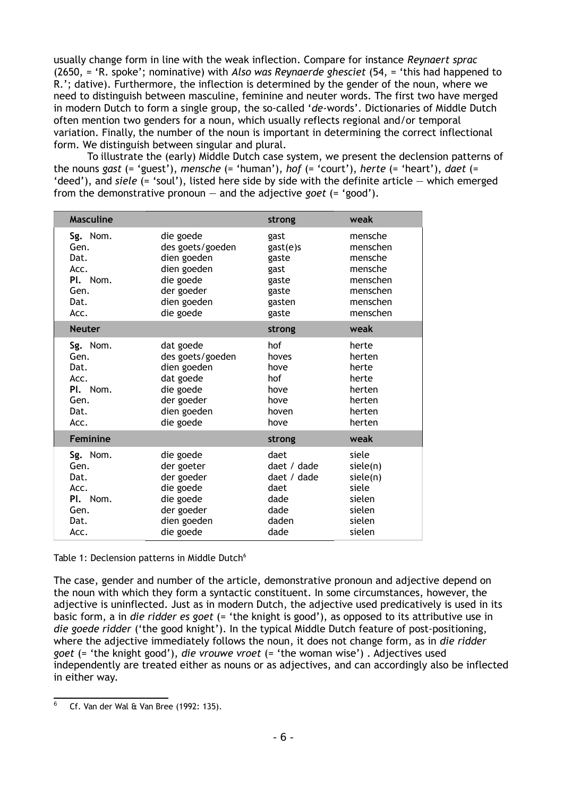usually change form in line with the weak inflection. Compare for instance *Reynaert sprac* (2650, = 'R. spoke'; nominative) with *Also was Reynaerde ghesciet* (54, = 'this had happened to R.'; dative). Furthermore, the inflection is determined by the gender of the noun, where we need to distinguish between masculine, feminine and neuter words. The first two have merged in modern Dutch to form a single group, the so-called '*de*-words'. Dictionaries of Middle Dutch often mention two genders for a noun, which usually reflects regional and/or temporal variation. Finally, the number of the noun is important in determining the correct inflectional form. We distinguish between singular and plural.

To illustrate the (early) Middle Dutch case system, we present the declension patterns of the nouns *gast* (= 'guest'), *mensche* (= 'human'), *hof* (= 'court'), *herte* (= 'heart'), *daet* (= 'deed'), and *siele* (= 'soul'), listed here side by side with the definite article — which emerged from the demonstrative pronoun — and the adjective *goet* (= 'good').

| <b>Masculine</b> |                  | strong      | weak     |
|------------------|------------------|-------------|----------|
| Sg. Nom.         | die goede        | gast        | mensche  |
| Gen.             | des goets/goeden | gast(e)s    | menschen |
| Dat.             | dien goeden      | gaste       | mensche  |
| Acc.             | dien goeden      | gast        | mensche  |
| Pl. Nom.         | die goede        | gaste       | menschen |
| Gen.             | der goeder       | gaste       | menschen |
| Dat.             | dien goeden      | gasten      | menschen |
| Acc.             | die goede        | gaste       | menschen |
| <b>Neuter</b>    |                  | strong      | weak     |
| Sg. Nom.         | dat goede        | hof         | herte    |
| Gen.             | des goets/goeden | hoves       | herten   |
| Dat.             | dien goeden      | hove        | herte    |
| Acc.             | dat goede        | hof         | herte    |
| Pl. Nom.         | die goede        | hove        | herten   |
| Gen.             | der goeder       | hove        | herten   |
| Dat.             | dien goeden      | hoven       | herten   |
| Acc.             | die goede        | hove        | herten   |
| Feminine         |                  | strong      | weak     |
| Sg. Nom.         | die goede        | daet        | siele    |
| Gen.             | der goeter       | daet / dade | siele(n) |
| Dat.             | der goeder       | daet / dade | siele(n) |
| Acc.             | die goede        | daet        | siele    |
| Pl. Nom.         | die goede        | dade        | sielen   |
| Gen.             | der goeder       | dade        | sielen   |
| Dat.             | dien goeden      | daden       | sielen   |
| Acc.             | die goede        | dade        | sielen   |

Table 1: Declension patterns in Middle Dutch<sup>[6](#page-5-0)</sup>

The case, gender and number of the article, demonstrative pronoun and adjective depend on the noun with which they form a syntactic constituent. In some circumstances, however, the adjective is uninflected. Just as in modern Dutch, the adjective used predicatively is used in its basic form, a in *die ridder es goet* (= 'the knight is good'), as opposed to its attributive use in *die goede ridder* ('the good knight'). In the typical Middle Dutch feature of post-positioning, where the adjective immediately follows the noun, it does not change form, as in *die ridder goet* (= 'the knight good'), *die vrouwe vroet* (= 'the woman wise') . Adjectives used independently are treated either as nouns or as adjectives, and can accordingly also be inflected in either way.

<span id="page-5-0"></span> $6$  Cf. Van der Wal & Van Bree (1992: 135).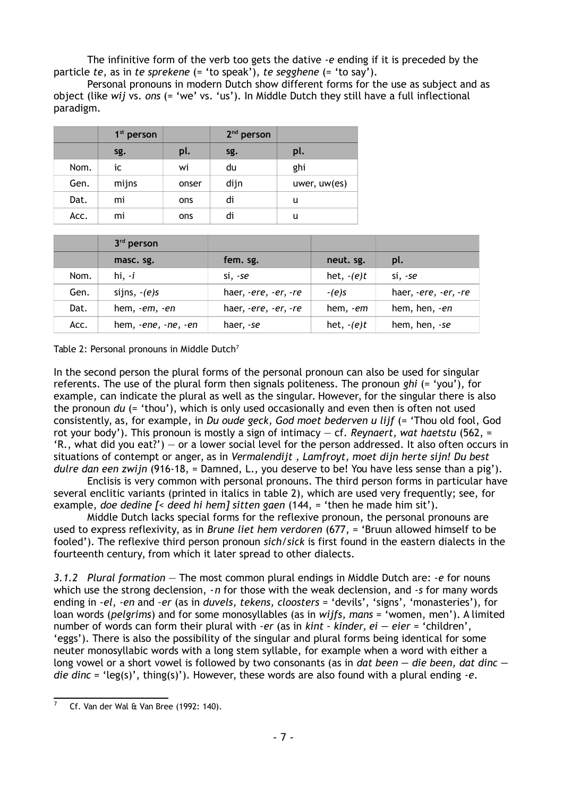The infinitive form of the verb too gets the dative *-e* ending if it is preceded by the particle *te*, as in *te sprekene* (= 'to speak'), *te segghene* (= 'to say').

Personal pronouns in modern Dutch show different forms for the use as subject and as object (like *wij* vs. *ons* (= 'we' vs. 'us'). In Middle Dutch they still have a full inflectional paradigm.

|      | $1st$ person |       | $2nd$ person |              |
|------|--------------|-------|--------------|--------------|
|      | sg.          | pl.   | sg.          | pl.          |
| Nom. | ic           | wi    | du           | ghi          |
| Gen. | mijns        | onser | dijn         | uwer, uw(es) |
| Dat. | mi           | ons   | di           | u            |
| Acc. | mi           | ons   | di           | u            |

|      | 3 <sup>rd</sup> person |                      |              |                      |
|------|------------------------|----------------------|--------------|----------------------|
|      | masc. sg.              | fem. sg.             | neut. sg.    | pl.                  |
| Nom. | hi, $-i$               | si, -se              | het, $-(e)t$ | si, -se              |
| Gen. | sijns, $-(e)s$         | haer, -ere, -er, -re | -(e)s        | haer, -ere, -er, -re |
| Dat. | hem, -em, -en          | haer, -ere, -er, -re | hem, -em     | hem, hen, -en        |
| Acc. | hem, -ene, -ne, -en    | haer, -se            | het, $-(e)t$ | hem, hen, -se        |

Table 2: Personal pronouns in Middle Dutch<sup>[7](#page-6-0)</sup>

In the second person the plural forms of the personal pronoun can also be used for singular referents. The use of the plural form then signals politeness. The pronoun *ghi* (= 'you'), for example, can indicate the plural as well as the singular. However, for the singular there is also the pronoun *du* (= 'thou'), which is only used occasionally and even then is often not used consistently, as, for example, in *Du oude geck, God moet bederven u lijf* (= 'Thou old fool, God rot your body'). This pronoun is mostly a sign of intimacy — cf. *Reynaert, wat haetstu* (562, = 'R., what did you eat?') — or a lower social level for the person addressed. It also often occurs in situations of contempt or anger, as in *Vermalendijt , Lamfroyt, moet dijn herte sijn! Du best dulre dan een zwijn* (916-18, = Damned, L., you deserve to be! You have less sense than a pig').

Enclisis is very common with personal pronouns. The third person forms in particular have several enclitic variants (printed in italics in table 2), which are used very frequently; see, for example, *doe dedine [< deed hi hem] sitten gaen* (144, = 'then he made him sit').

Middle Dutch lacks special forms for the reflexive pronoun, the personal pronouns are used to express reflexivity, as in *Brune liet hem verdoren* (677, = 'Bruun allowed himself to be fooled'). The reflexive third person pronoun *sich/sick* is first found in the eastern dialects in the fourteenth century, from which it later spread to other dialects.

*3.1.2 Plural formation* — The most common plural endings in Middle Dutch are: *-e* for nouns which use the strong declension, *-n* for those with the weak declension, and *-s* for many words ending in *-el*, *-en* and *–er* (as in *duvels, tekens, cloosters* = 'devils', 'signs', 'monasteries'), for loan words (*pelgrims*) and for some monosyllables (as in *wijfs, mans* = 'women, men'). A limited number of words can form their plural with *-er* (as in *kint - kinder, ei — eier* = 'children', 'eggs'). There is also the possibility of the singular and plural forms being identical for some neuter monosyllabic words with a long stem syllable, for example when a word with either a long vowel or a short vowel is followed by two consonants (as in *dat been — die been, dat dinc die dinc* = 'leg(s)', thing(s)'). However, these words are also found with a plural ending *-e*.

<span id="page-6-0"></span><sup>&</sup>lt;sup>7</sup> Cf. Van der Wal & Van Bree (1992: 140).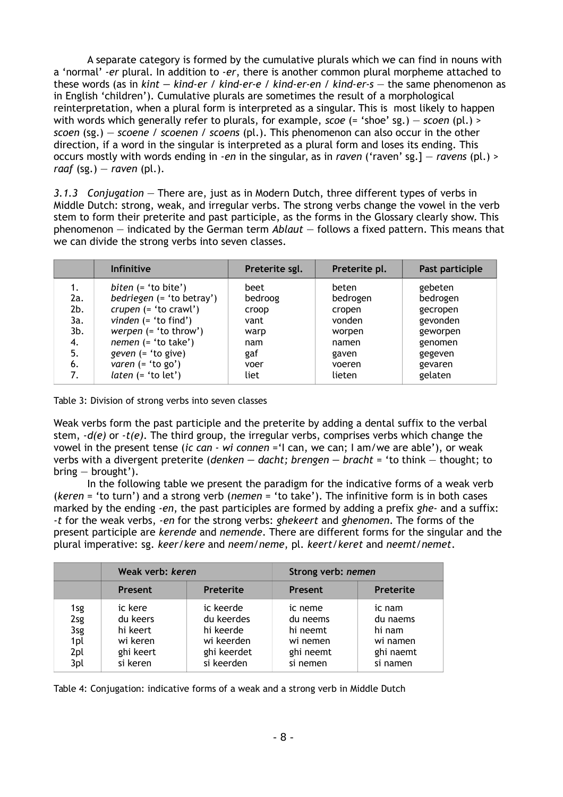A separate category is formed by the cumulative plurals which we can find in nouns with a 'normal' *-er* plural. In addition to *-er*, there is another common plural morpheme attached to these words (as in *kint — kind-er / kind-er-e / kind-er-en / kind-er-s* — the same phenomenon as in English 'children'). Cumulative plurals are sometimes the result of a morphological reinterpretation, when a plural form is interpreted as a singular. This is most likely to happen with words which generally refer to plurals, for example, *scoe* (= 'shoe' sg.) — *scoen* (pl.) > *scoen* (sg.) — *scoene / scoenen / scoens* (pl.). This phenomenon can also occur in the other direction, if a word in the singular is interpreted as a plural form and loses its ending. This occurs mostly with words ending in *-en* in the singular, as in *raven* ('raven' sg.] — *ravens* (pl.) > *raaf* (sg.) — *raven* (pl.).

*3.1.3 Conjugation* — There are, just as in Modern Dutch, three different types of verbs in Middle Dutch: strong, weak, and irregular verbs. The strong verbs change the vowel in the verb stem to form their preterite and past participle, as the forms in the Glossary clearly show. This phenomenon — indicated by the German term *Ablaut* — follows a fixed pattern. This means that we can divide the strong verbs into seven classes.

|                                                  | Infinitive                                                                                                                                                                                                                                               | Preterite sgl.                                                         | Preterite pl.                                                                         | Past participle                                                                                     |
|--------------------------------------------------|----------------------------------------------------------------------------------------------------------------------------------------------------------------------------------------------------------------------------------------------------------|------------------------------------------------------------------------|---------------------------------------------------------------------------------------|-----------------------------------------------------------------------------------------------------|
| 1.<br>2a.<br>2b.<br>3a.<br>3b.<br>4.<br>5.<br>6. | biten $($ = 'to bite')<br>bedriegen (= 'to betray')<br>crupen $($ = 'to crawl')<br>vinden $($ = 'to find' $)$<br>werpen $($ = 'to throw' $)$<br>nemen $($ = 'to take')<br>geven (= 'to give)<br>varen $($ = 'to go')<br><i>laten</i> $($ = $'$ to $let'$ | beet<br>bedroog<br>croop<br>vant<br>warp<br>nam<br>gaf<br>voer<br>liet | beten<br>bedrogen<br>cropen<br>vonden<br>worpen<br>namen<br>gaven<br>voeren<br>lieten | gebeten<br>bedrogen<br>gecropen<br>gevonden<br>geworpen<br>genomen<br>gegeven<br>gevaren<br>gelaten |

Table 3: Division of strong verbs into seven classes

Weak verbs form the past participle and the preterite by adding a dental suffix to the verbal stem, -*d(e)* or *-t(e)*. The third group, the irregular verbs, comprises verbs which change the vowel in the present tense (*ic can - wi connen* ='I can, we can; I am/we are able'), or weak verbs with a divergent preterite (*denken — dacht; brengen — bracht* = 'to think — thought; to bring — brought').

In the following table we present the paradigm for the indicative forms of a weak verb (*keren* = 'to turn') and a strong verb (*nemen* = 'to take'). The infinitive form is in both cases marked by the ending *-en*, the past participles are formed by adding a prefix *ghe-* and a suffix: *-t* for the weak verbs, *-en* for the strong verbs: *ghekeert* and *ghenomen*. The forms of the present participle are *kerende* and *nemende*. There are different forms for the singular and the plural imperative: sg. *keer/kere* and *neem/neme*, pl. *keert/keret* and *neemt/nemet*.

|                                        | Weak verb: keren                                                     |                                                                                 | Strong verb: nemen                                                   |                                                                   |
|----------------------------------------|----------------------------------------------------------------------|---------------------------------------------------------------------------------|----------------------------------------------------------------------|-------------------------------------------------------------------|
|                                        | <b>Present</b>                                                       | <b>Preterite</b>                                                                | Present                                                              | <b>Preterite</b>                                                  |
| 1sg<br>2sg<br>3sg<br>1pl<br>2pl<br>3pl | ic kere<br>du keers<br>hi keert<br>wi keren<br>ghi keert<br>si keren | ic keerde<br>du keerdes<br>hi keerde<br>wi keerden<br>ghi keerdet<br>si keerden | ic neme<br>du neems<br>hi neemt<br>wi nemen<br>ghi neemt<br>si nemen | ic nam<br>du naems<br>hi nam<br>wi namen<br>ghi naemt<br>si namen |

Table 4: Conjugation: indicative forms of a weak and a strong verb in Middle Dutch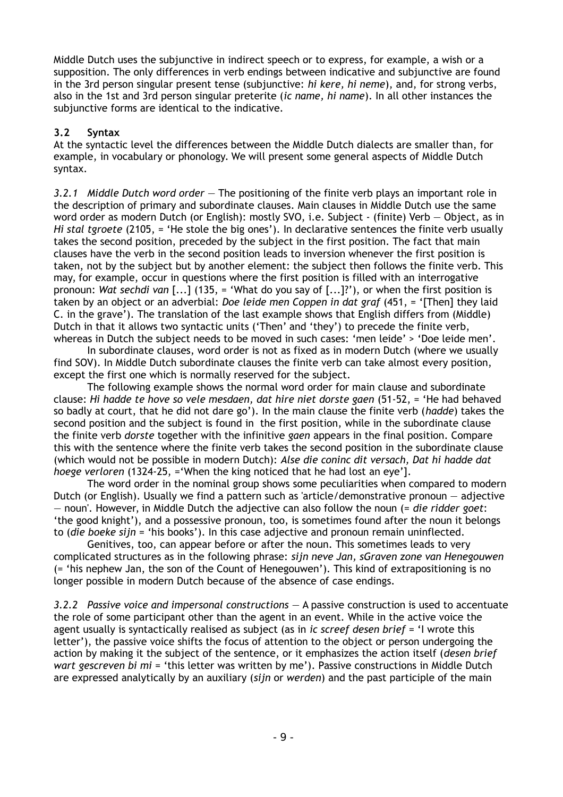Middle Dutch uses the subjunctive in indirect speech or to express, for example, a wish or a supposition. The only differences in verb endings between indicative and subjunctive are found in the 3rd person singular present tense (subjunctive: *hi kere, hi neme*), and, for strong verbs, also in the 1st and 3rd person singular preterite (*ic name, hi name*). In all other instances the subjunctive forms are identical to the indicative.

# **3.2 Syntax**

At the syntactic level the differences between the Middle Dutch dialects are smaller than, for example, in vocabulary or phonology. We will present some general aspects of Middle Dutch syntax.

*3.2.1 Middle Dutch word order* — The positioning of the finite verb plays an important role in the description of primary and subordinate clauses. Main clauses in Middle Dutch use the same word order as modern Dutch (or English): mostly SVO, i.e. Subject - (finite) Verb — Object, as in *Hi stal tgroete* (2105, = 'He stole the big ones'). In declarative sentences the finite verb usually takes the second position, preceded by the subject in the first position. The fact that main clauses have the verb in the second position leads to inversion whenever the first position is taken, not by the subject but by another element: the subject then follows the finite verb. This may, for example, occur in questions where the first position is filled with an interrogative pronoun: *Wat sechdi van* [...] (135, = 'What do you say of [...]?'), or when the first position is taken by an object or an adverbial: *Doe leide men Coppen in dat graf* (451, = '[Then] they laid C. in the grave'). The translation of the last example shows that English differs from (Middle) Dutch in that it allows two syntactic units ('Then' and 'they') to precede the finite verb, whereas in Dutch the subject needs to be moved in such cases: 'men leide' > 'Doe leide men'.

In subordinate clauses, word order is not as fixed as in modern Dutch (where we usually find SOV). In Middle Dutch subordinate clauses the finite verb can take almost every position, except the first one which is normally reserved for the subject.

The following example shows the normal word order for main clause and subordinate clause: *Hi hadde te hove so vele mesdaen, dat hire niet dorste gaen* (51-52, = 'He had behaved so badly at court, that he did not dare go'). In the main clause the finite verb (*hadde*) takes the second position and the subject is found in the first position, while in the subordinate clause the finite verb *dorste* together with the infinitive *gaen* appears in the final position. Compare this with the sentence where the finite verb takes the second position in the subordinate clause (which would not be possible in modern Dutch): *Alse die coninc dit versach, Dat hi hadde dat hoege verloren* (1324-25, ='When the king noticed that he had lost an eye'].

The word order in the nominal group shows some peculiarities when compared to modern Dutch (or English). Usually we find a pattern such as 'article/demonstrative pronoun — adjective — noun'. However, in Middle Dutch the adjective can also follow the noun (= *die ridder goet*: 'the good knight'), and a possessive pronoun, too, is sometimes found after the noun it belongs to (*die boeke sijn* = 'his books'). In this case adjective and pronoun remain uninflected.

Genitives, too, can appear before or after the noun. This sometimes leads to very complicated structures as in the following phrase: *sijn neve Jan, sGraven zone van Henegouwen* (= 'his nephew Jan, the son of the Count of Henegouwen'). This kind of extrapositioning is no longer possible in modern Dutch because of the absence of case endings.

*3.2.2 Passive voice and impersonal constructions* — A passive construction is used to accentuate the role of some participant other than the agent in an event. While in the active voice the agent usually is syntactically realised as subject (as in *ic screef desen brief* = 'I wrote this letter'), the passive voice shifts the focus of attention to the object or person undergoing the action by making it the subject of the sentence, or it emphasizes the action itself (*desen brief wart gescreven bi mi* = 'this letter was written by me'). Passive constructions in Middle Dutch are expressed analytically by an auxiliary (*sijn* or *werden*) and the past participle of the main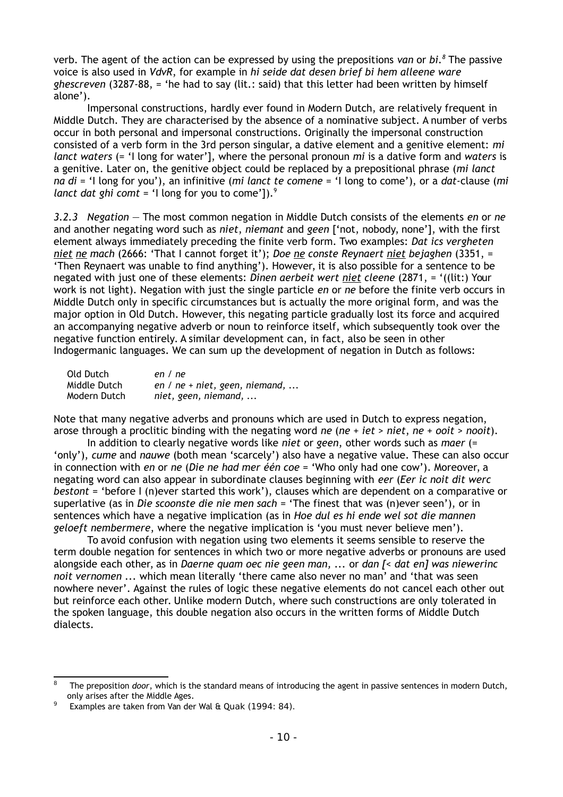verb. The agent of the action can be expressed by using the prepositions *van* or *bi.[8](#page-9-0)* The passive voice is also used in *VdvR*, for example in *hi seide dat desen brief bi hem alleene ware ghescreven* (3287-88, = 'he had to say (lit.: said) that this letter had been written by himself alone').

Impersonal constructions, hardly ever found in Modern Dutch, are relatively frequent in Middle Dutch. They are characterised by the absence of a nominative subject. A number of verbs occur in both personal and impersonal constructions. Originally the impersonal construction consisted of a verb form in the 3rd person singular, a dative element and a genitive element: *mi lanct waters* (= 'I long for water'], where the personal pronoun *mi* is a dative form and *waters* is a genitive. Later on, the genitive object could be replaced by a prepositional phrase (*mi lanct na di* = 'I long for you'), an infinitive (*mi lanct te comene* = 'I long to come'), or a *dat-*clause (*mi lanct dat ghi comt* = 'I long for you to come'l).<sup>[9](#page-9-1)</sup>

*3.2.3 Negation* — The most common negation in Middle Dutch consists of the elements *en* or *ne* and another negating word such as *niet*, *niemant* and *geen* ['not, nobody, none'], with the first element always immediately preceding the finite verb form. Two examples: *Dat ics vergheten niet ne mach* (2666: 'That I cannot forget it'); *Doe ne conste Reynaert niet bejaghen* (3351, = 'Then Reynaert was unable to find anything'). However, it is also possible for a sentence to be negated with just one of these elements: *Dinen aerbeit wert niet cleene* (2871, = '((lit:) Your work is not light). Negation with just the single particle *en* or *ne* before the finite verb occurs in Middle Dutch only in specific circumstances but is actually the more original form, and was the major option in Old Dutch. However, this negating particle gradually lost its force and acquired an accompanying negative adverb or noun to reinforce itself, which subsequently took over the negative function entirely. A similar development can, in fact, also be seen in other Indogermanic languages. We can sum up the development of negation in Dutch as follows:

| Old Dutch    | en / ne                          |
|--------------|----------------------------------|
| Middle Dutch | en $/$ ne + niet, geen, niemand, |
| Modern Dutch | niet, geen, niemand,             |

Note that many negative adverbs and pronouns which are used in Dutch to express negation, arose through a proclitic binding with the negating word *ne* (*ne* + *iet* > *niet*, *ne* + *ooit* > *nooit*).

In addition to clearly negative words like *niet* or *geen*, other words such as *maer* (= 'only'), *cume* and *nauwe* (both mean 'scarcely') also have a negative value. These can also occur in connection with *en* or *ne* (*Die ne had mer één coe* = 'Who only had one cow'). Moreover, a negating word can also appear in subordinate clauses beginning with *eer* (*Eer ic noit dit werc bestont* = 'before I (n)ever started this work'), clauses which are dependent on a comparative or superlative (as in *Die scoonste die nie men sach* = 'The finest that was (n)ever seen'), or in sentences which have a negative implication (as in *Hoe dul es hi ende wel sot die mannen geloeft nembermere*, where the negative implication is 'you must never believe men').

To avoid confusion with negation using two elements it seems sensible to reserve the term double negation for sentences in which two or more negative adverbs or pronouns are used alongside each other, as in *Daerne quam oec nie geen man, ...* or *dan [< dat en] was niewerinc noit vernomen ...* which mean literally 'there came also never no man' and 'that was seen nowhere never'. Against the rules of logic these negative elements do not cancel each other out but reinforce each other. Unlike modern Dutch, where such constructions are only tolerated in the spoken language, this double negation also occurs in the written forms of Middle Dutch dialects.

<span id="page-9-0"></span><sup>8</sup> The preposition *door*, which is the standard means of introducing the agent in passive sentences in modern Dutch, only arises after the Middle Ages.

<span id="page-9-1"></span><sup>9</sup> Examples are taken from Van der Wal & Quak (1994: 84).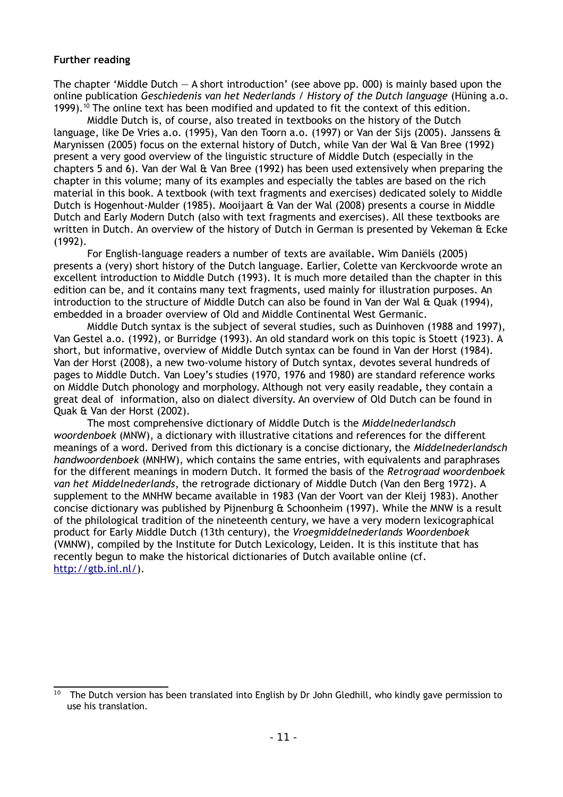# **Further reading**

The chapter 'Middle Dutch  $-$  A short introduction' (see above pp. 000) is mainly based upon the online publication *Geschiedenis van het Nederlands / History of the Dutch language* (Hüning a.o. 1999).<sup>[10](#page-10-0)</sup> The online text has been modified and updated to fit the context of this edition.

Middle Dutch is, of course, also treated in textbooks on the history of the Dutch language, like De Vries a.o. (1995), Van den Toorn a.o. (1997) or Van der Sijs (2005). Janssens & Marynissen (2005) focus on the external history of Dutch, while Van der Wal & Van Bree (1992) present a very good overview of the linguistic structure of Middle Dutch (especially in the chapters 5 and 6). Van der Wal & Van Bree (1992) has been used extensively when preparing the chapter in this volume; many of its examples and especially the tables are based on the rich material in this book. A textbook (with text fragments and exercises) dedicated solely to Middle Dutch is Hogenhout-Mulder (1985). Mooijaart & Van der Wal (2008) presents a course in Middle Dutch and Early Modern Dutch (also with text fragments and exercises). All these textbooks are written in Dutch. An overview of the history of Dutch in German is presented by Vekeman & Ecke (1992).

For English-language readers a number of texts are available**.** Wim Daniëls (2005) presents a (very) short history of the Dutch language. Earlier, Colette van Kerckvoorde wrote an excellent introduction to Middle Dutch (1993). It is much more detailed than the chapter in this edition can be, and it contains many text fragments, used mainly for illustration purposes. An introduction to the structure of Middle Dutch can also be found in Van der Wal & Quak (1994), embedded in a broader overview of Old and Middle Continental West Germanic.

Middle Dutch syntax is the subject of several studies, such as Duinhoven (1988 and 1997), Van Gestel a.o. (1992), or Burridge (1993). An old standard work on this topic is Stoett (1923). A short, but informative, overview of Middle Dutch syntax can be found in Van der Horst (1984). Van der Horst (2008), a new two-volume history of Dutch syntax, devotes several hundreds of pages to Middle Dutch. Van Loey's studies (1970, 1976 and 1980) are standard reference works on Middle Dutch phonology and morphology. Although not very easily readable**,** they contain a great deal of information, also on dialect diversity. An overview of Old Dutch can be found in Quak & Van der Horst (2002).

The most comprehensive dictionary of Middle Dutch is the *Middelnederlandsch woordenboek* (MNW), a dictionary with illustrative citations and references for the different meanings of a word. Derived from this dictionary is a concise dictionary, the *Middelnederlandsch handwoordenboek* (MNHW), which contains the same entries, with equivalents and paraphrases for the different meanings in modern Dutch. It formed the basis of the *Retrograad woordenboek van het Middelnederlands*, the retrograde dictionary of Middle Dutch (Van den Berg 1972). A supplement to the MNHW became available in 1983 (Van der Voort van der Kleij 1983). Another concise dictionary was published by Pijnenburg & Schoonheim (1997). While the MNW is a result of the philological tradition of the nineteenth century, we have a very modern lexicographical product for Early Middle Dutch (13th century), the *Vroegmiddelnederlands Woordenboek* (VMNW), compiled by the Institute for Dutch Lexicology, Leiden. It is this institute that has recently begun to make the historical dictionaries of Dutch available online (cf.  [http://gtb.inl.nl/\)](http://gtb.inl.nl/).

<span id="page-10-0"></span><sup>&</sup>lt;sup>10</sup> The Dutch version has been translated into English by Dr John Gledhill, who kindly gave permission to use his translation.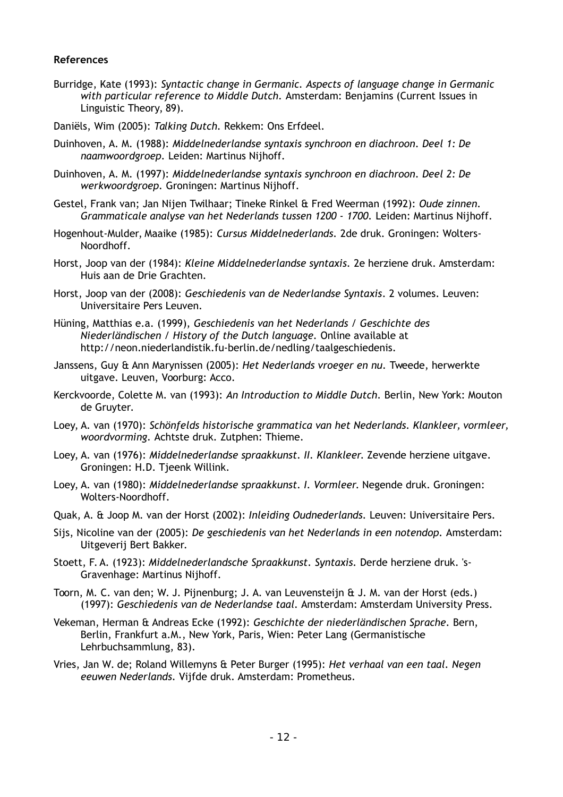#### **References**

- Burridge, Kate (1993): *Syntactic change in Germanic. Aspects of language change in Germanic with particular reference to Middle Dutch.* Amsterdam: Benjamins (Current Issues in Linguistic Theory, 89).
- Daniëls, Wim (2005): *Talking Dutch.* Rekkem: Ons Erfdeel.
- Duinhoven, A. M. (1988): *Middelnederlandse syntaxis synchroon en diachroon. Deel 1: De naamwoordgroep.* Leiden: Martinus Nijhoff.
- Duinhoven, A. M. (1997): *Middelnederlandse syntaxis synchroon en diachroon. Deel 2: De werkwoordgroep.* Groningen: Martinus Nijhoff.
- Gestel, Frank van; Jan Nijen Twilhaar; Tineke Rinkel & Fred Weerman (1992): *Oude zinnen. Grammaticale analyse van het Nederlands tussen 1200 - 1700.* Leiden: Martinus Nijhoff.
- Hogenhout-Mulder, Maaike (1985): *Cursus Middelnederlands.* 2de druk. Groningen: Wolters-Noordhoff.
- Horst, Joop van der (1984): *Kleine Middelnederlandse syntaxis.* 2e herziene druk. Amsterdam: Huis aan de Drie Grachten.
- Horst, Joop van der (2008): *Geschiedenis van de Nederlandse Syntaxis*. 2 volumes. Leuven: Universitaire Pers Leuven.
- Hüning, Matthias e.a. (1999), *Geschiedenis van het Nederlands / Geschichte des Niederländischen / History of the Dutch language.* Online available at http://neon.niederlandistik.fu-berlin.de/nedling/taalgeschiedenis.
- Janssens, Guy & Ann Marynissen (2005): *Het Nederlands vroeger en nu.* Tweede, herwerkte uitgave. Leuven, Voorburg: Acco.
- Kerckvoorde, Colette M. van (1993): *An Introduction to Middle Dutch.* Berlin, New York: Mouton de Gruyter.
- Loey, A. van (1970): *Schönfelds historische grammatica van het Nederlands. Klankleer, vormleer, woordvorming.* Achtste druk. Zutphen: Thieme.
- Loey, A. van (1976): *Middelnederlandse spraakkunst. II. Klankleer.* Zevende herziene uitgave. Groningen: H.D. Tjeenk Willink.
- Loey, A. van (1980): *Middelnederlandse spraakkunst. I. Vormleer.* Negende druk. Groningen: Wolters-Noordhoff.
- Quak, A. & Joop M. van der Horst (2002): *Inleiding Oudnederlands.* Leuven: Universitaire Pers.
- Sijs, Nicoline van der (2005): *De geschiedenis van het Nederlands in een notendop.* Amsterdam: Uitgeverij Bert Bakker.
- Stoett, F. A. (1923): *Middelnederlandsche Spraakkunst. Syntaxis.* Derde herziene druk. 's-Gravenhage: Martinus Nijhoff.
- Toorn, M. C. van den; W. J. Pijnenburg; J. A. van Leuvensteijn & J. M. van der Horst (eds.) (1997): *Geschiedenis van de Nederlandse taal.* Amsterdam: Amsterdam University Press.
- Vekeman, Herman & Andreas Ecke (1992): *Geschichte der niederländischen Sprache.* Bern, Berlin, Frankfurt a.M., New York, Paris, Wien: Peter Lang (Germanistische Lehrbuchsammlung, 83).
- Vries, Jan W. de; Roland Willemyns & Peter Burger (1995): *Het verhaal van een taal. Negen eeuwen Nederlands.* Vijfde druk. Amsterdam: Prometheus.